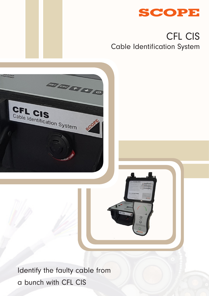

# CFL CIS Cable Identification System



a bunch with CFL CIS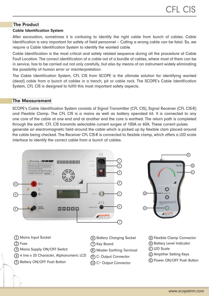## The Product

#### Cable Identification System

After excavation, sometimes it is confusing to identify the right cable from bunch of cables. Cable Identification is very important for safety of field personnel – Cutting a wrong cable can be fatal. So, we require a Cable Identification System to identify the wanted cable.

Cable Identification is the most critical and safety related sequence during all the procedure of Cable Fault Location. The correct identification of a cable out of a bundle of cables, where most of them can be in service, has to be carried out not only carefully, but also by means of an instrument widely eliminating the possibility of human error or misinterpretation.

The Cable Identification System, CFL CIS from SCOPE is the ultimate solution for identifying wanted (dead) cable from a bunch of cables in a trench, pit or cable rack. The SCOPE's Cable Identification System, CFL CIS is designed to fulfill this most important safety aspects.

#### The Measurement

SCOPE's Cable Identification System consists of Signal Transmitter (CFL CIS), Signal Receiver (CFL CIS-R) and Flexible Clamp. The CFL CIS is a mains as well as battery operated kit. It is connected to any one core of the cable at one end and at another end the core is earthed. The return path is completed through the earth. CFL CIS transmits selectable current surges of 100A or 60A. These current pulses generate an electromagnetic field around the cable which is picked up by flexible clam placed around the cable being checked. The Receiver CFL CIS-R is connected to flexible clamp, which offers a LED scale interface to identify the correct cable from a bunch of cables.



- 1 6 Mains Input Socket
- $\overline{2}$  Fuse  $\overline{7}$
- $\overline{3}$ ) Mains Supply ON/OFF Switch  $\qquad \qquad \overline{8}$
- $\overline{4}$ ) 4 line x 20 Character, Alphanumeric LCD  $\quad$   $\overline{\mathcal{O}}$
- $\overline{\rm 5)}$  Battery ON/OFF Push Button  $\overline{\rm 10}$
- Battery Charging Socket
- Key Board
	- Master Earthing Terminal
- C- Output Connector
	- C+ Output Connector
- a Flexible Clamp Connector
- $\overline{\mathrm{b}}$  Battery Level Indicator
- c LED Scale
	- d Amplifier Setting Keys
	- e Power ON/OFF Push Button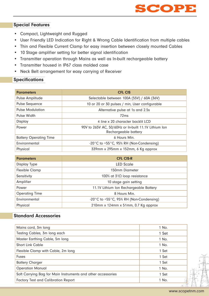

## Special Features

- Compact, Lightweight and Rugged
- User Friendly LED Indication for Right & Wrong Cable Identification from multiple cables
- Thin and Flexible Current Clamp for easy insertion between closely mounted Cables
- 10 Stage amplifier setting for better signal identification
- Transmitter operation through Mains as well as In-built rechargeable battery
- Transmitter housed in IP67 class molded case
- Neck Belt arrangement for easy carrying of Receiver

## **Specifications**

| <b>Parameters</b>             | <b>CFL CIS</b>                                              |  |
|-------------------------------|-------------------------------------------------------------|--|
| Pulse Amplitude               | Selectable between 100A (55V) / 60A (36V)                   |  |
| Pulse Sequence                | 10 or 20 or 30 pulses / min, User configurable              |  |
| <b>Pulse Modulation</b>       | Alternative pulse at 1s and 2.5s                            |  |
| Pulse Width                   | 72 <sub>ms</sub>                                            |  |
| Display                       | 4 line x 20 character backlit LCD                           |  |
| Power                         | 90V to 265V AC, 50/60Hz or In-built 11.1V Lithium Ion       |  |
|                               | Rechargeable battery                                        |  |
| <b>Battery Operating Time</b> | 6 Hours Min.                                                |  |
| Environmental                 | -20 $\degree$ C to +55 $\degree$ C, 95% RH (Non-Condensing) |  |
| Physical                      | 339mm x 295mm x 152mm, 6 Kg approx                          |  |

| <b>Parameters</b>     | <b>CFL CIS-R</b>                                              |  |
|-----------------------|---------------------------------------------------------------|--|
| <b>Display Type</b>   | <b>LED Scale</b>                                              |  |
| <b>Flexible Clamp</b> | 150mm Diameter                                                |  |
| Sensitivity           | 100% at $31\Omega$ loop resistance                            |  |
| Amplifier             | 10 stage gain setting                                         |  |
| Power                 | 11.1V Lithium Ion Rechargeable Battery                        |  |
| <b>Operating Time</b> | 8 Hours Min.                                                  |  |
| Environmental         | -20 $^{\circ}$ C to +55 $^{\circ}$ C, 95% RH (Non-Condensing) |  |
| Physical              | 210mm x 124mm x 51mm, 0.7 Kg approx                           |  |

## Standard Accessories

| Mains cord, 3m long                                          | 1 No.        |
|--------------------------------------------------------------|--------------|
| Testing Cables, 3m long each                                 | 1 Set        |
| Master Earthing Cable, 5m long                               | 1 No.        |
| <b>Short Link Cable</b>                                      | 1 No.        |
| Flexible Clamp with Cable, 2m long                           | 1 Set        |
| <b>Fuses</b>                                                 | 1 Set        |
| <b>Battery Charger</b>                                       | 1 Set        |
| <b>Operation Manual</b>                                      | 1 No.        |
| Soft Carrying Bag for Main Instruments and other accessories | 1 Set        |
| <b>Factory Test and Calibration Report</b>                   | 1 No.<br>1/2 |